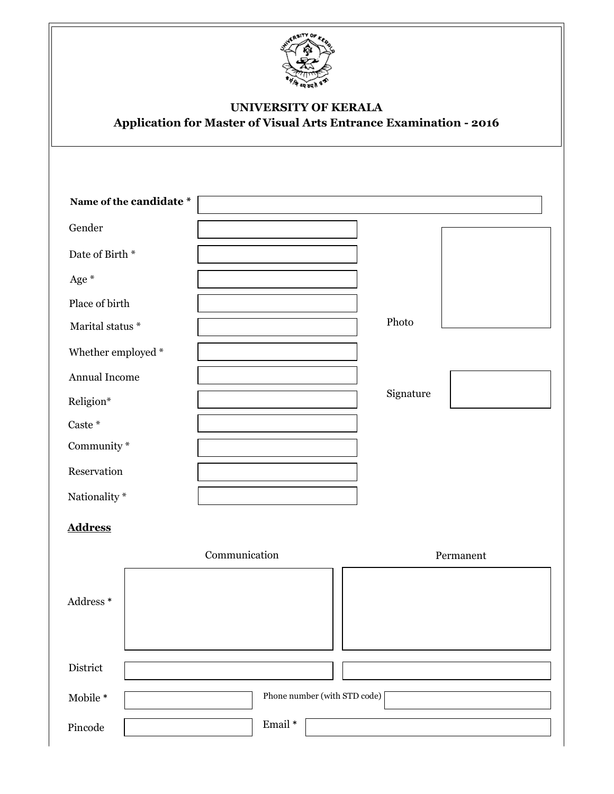

## UNIVERSITY OF KERALA Application for Master of Visual Arts Entrance Examination - 2016

| Name of the candidate *             |                              |
|-------------------------------------|------------------------------|
| Gender                              |                              |
| Date of Birth $^\ast$               |                              |
| Age *                               |                              |
| Place of birth                      |                              |
| Marital status *                    | Photo                        |
| Whether employed $\hspace{0.1mm}^*$ |                              |
| Annual Income                       |                              |
| Religion*                           | Signature                    |
| Caste *                             |                              |
| Community $\hspace{0.1mm}^*$        |                              |
| Reservation                         |                              |
| Nationality *                       |                              |
| <b>Address</b>                      |                              |
|                                     | Communication<br>Permanent   |
| Address *                           |                              |
| District                            |                              |
| Mobile $^\ast$                      | Phone number (with STD code) |
| $\rm Pincode$                       | Email*                       |